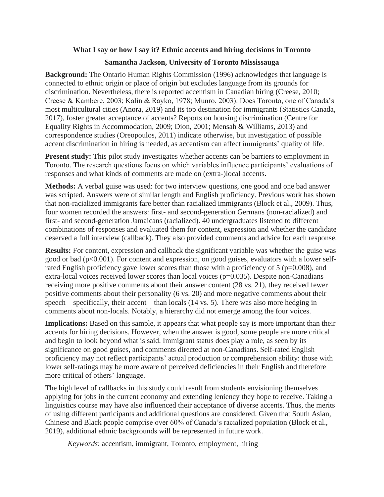## **What I say or how I say it? Ethnic accents and hiring decisions in Toronto**

## **Samantha Jackson, University of Toronto Mississauga**

**Background:** The Ontario Human Rights Commission (1996) acknowledges that language is connected to ethnic origin or place of origin but excludes language from its grounds for discrimination. Nevertheless, there is reported accentism in Canadian hiring (Creese, 2010; Creese & Kambere, 2003; Kalin & Rayko, 1978; Munro, 2003). Does Toronto, one of Canada's most multicultural cities (Anora, 2019) and its top destination for immigrants (Statistics Canada, 2017), foster greater acceptance of accents? Reports on housing discrimination (Centre for Equality Rights in Accommodation, 2009; Dion, 2001; Mensah & Williams, 2013) and correspondence studies (Oreopoulos, 2011) indicate otherwise, but investigation of possible accent discrimination in hiring is needed, as accentism can affect immigrants' quality of life.

**Present study:** This pilot study investigates whether accents can be barriers to employment in Toronto. The research questions focus on which variables influence participants' evaluations of responses and what kinds of comments are made on (extra-)local accents.

**Methods:** A verbal guise was used: for two interview questions, one good and one bad answer was scripted. Answers were of similar length and English proficiency. Previous work has shown that non-racialized immigrants fare better than racialized immigrants (Block et al., 2009). Thus, four women recorded the answers: first- and second-generation Germans (non-racialized) and first- and second-generation Jamaicans (racialized). 40 undergraduates listened to different combinations of responses and evaluated them for content, expression and whether the candidate deserved a full interview (callback). They also provided comments and advice for each response.

**Results:** For content, expression and callback the significant variable was whether the guise was good or bad ( $p<0.001$ ). For content and expression, on good guises, evaluators with a lower selfrated English proficiency gave lower scores than those with a proficiency of  $5$  ( $p=0.008$ ), and extra-local voices received lower scores than local voices (p=0.035). Despite non-Canadians receiving more positive comments about their answer content (28 vs. 21), they received fewer positive comments about their personality (6 vs. 20) and more negative comments about their speech—specifically, their accent—than locals (14 vs. 5). There was also more hedging in comments about non-locals. Notably, a hierarchy did not emerge among the four voices.

**Implications:** Based on this sample, it appears that what people say is more important than their accents for hiring decisions. However, when the answer is good, some people are more critical and begin to look beyond what is said. Immigrant status does play a role, as seen by its significance on good guises, and comments directed at non-Canadians. Self-rated English proficiency may not reflect participants' actual production or comprehension ability: those with lower self-ratings may be more aware of perceived deficiencies in their English and therefore more critical of others' language.

The high level of callbacks in this study could result from students envisioning themselves applying for jobs in the current economy and extending leniency they hope to receive. Taking a linguistics course may have also influenced their acceptance of diverse accents. Thus, the merits of using different participants and additional questions are considered. Given that South Asian, Chinese and Black people comprise over 60% of Canada's racialized population (Block et al., 2019), additional ethnic backgrounds will be represented in future work.

*Keywords*: accentism, immigrant, Toronto, employment, hiring